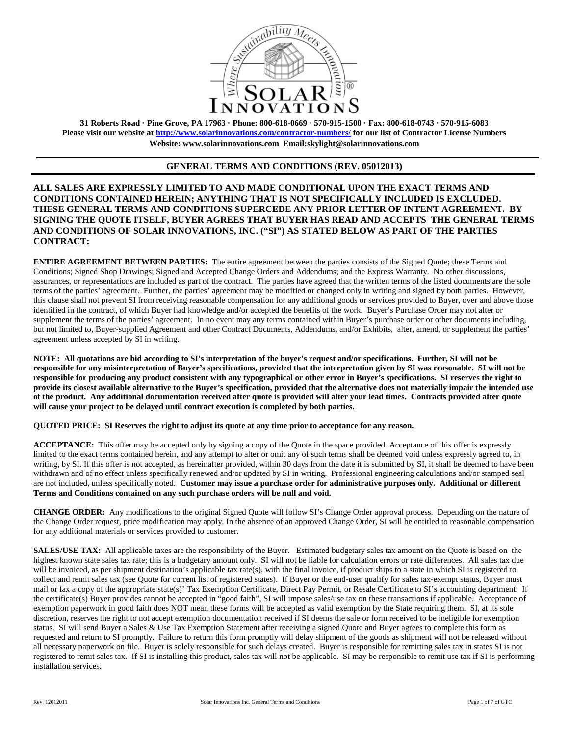

**31 Roberts Road · Pine Grove, PA 17963 · Phone: 800-618-0669 · 570-915-1500 · Fax: 800-618-0743 · 570-915-6083 Please visit our website at<http://www.solarinnovations.com/contractor-numbers/> for our list of Contractor License Numbers Website: [www.solarinnovations.com](http://www.solarinnovations.com/) Email:skylight@solarinnovations.com**

## **GENERAL TERMS AND CONDITIONS (REV. 05012013)**

**ALL SALES ARE EXPRESSLY LIMITED TO AND MADE CONDITIONAL UPON THE EXACT TERMS AND CONDITIONS CONTAINED HEREIN; ANYTHING THAT IS NOT SPECIFICALLY INCLUDED IS EXCLUDED. THESE GENERAL TERMS AND CONDITIONS SUPERCEDE ANY PRIOR LETTER OF INTENT AGREEMENT. BY SIGNING THE QUOTE ITSELF, BUYER AGREES THAT BUYER HAS READ AND ACCEPTS THE GENERAL TERMS AND CONDITIONS OF SOLAR INNOVATIONS, INC. ("SI") AS STATED BELOW AS PART OF THE PARTIES CONTRACT:**

**ENTIRE AGREEMENT BETWEEN PARTIES:** The entire agreement between the parties consists of the Signed Quote; these Terms and Conditions; Signed Shop Drawings; Signed and Accepted Change Orders and Addendums; and the Express Warranty. No other discussions, assurances, or representations are included as part of the contract. The parties have agreed that the written terms of the listed documents are the sole terms of the parties' agreement. Further, the parties' agreement may be modified or changed only in writing and signed by both parties. However, this clause shall not prevent SI from receiving reasonable compensation for any additional goods or services provided to Buyer, over and above those identified in the contract, of which Buyer had knowledge and/or accepted the benefits of the work. Buyer's Purchase Order may not alter or supplement the terms of the parties' agreement. In no event may any terms contained within Buyer's purchase order or other documents including, but not limited to, Buyer-supplied Agreement and other Contract Documents, Addendums, and/or Exhibits, alter, amend, or supplement the parties' agreement unless accepted by SI in writing.

**NOTE: All quotations are bid according to SI's interpretation of the buyer's request and/or specifications. Further, SI will not be responsible for any misinterpretation of Buyer's specifications, provided that the interpretation given by SI was reasonable. SI will not be responsible for producing any product consistent with any typographical or other error in Buyer's specifications. SI reserves the right to provide its closest available alternative to the Buyer's specification, provided that the alternative does not materially impair the intended use of the product. Any additional documentation received after quote is provided will alter your lead times. Contracts provided after quote will cause your project to be delayed until contract execution is completed by both parties.** 

**QUOTED PRICE: SI Reserves the right to adjust its quote at any time prior to acceptance for any reason.** 

**ACCEPTANCE:** This offer may be accepted only by signing a copy of the Quote in the space provided. Acceptance of this offer is expressly limited to the exact terms contained herein, and any attempt to alter or omit any of such terms shall be deemed void unless expressly agreed to, in writing, by SI. If this offer is not accepted, as hereinafter provided, within 30 days from the date it is submitted by SI, it shall be deemed to have been withdrawn and of no effect unless specifically renewed and/or updated by SI in writing. Professional engineering calculations and/or stamped seal are not included, unless specifically noted. **Customer may issue a purchase order for administrative purposes only. Additional or different Terms and Conditions contained on any such purchase orders will be null and void.**

**CHANGE ORDER:** Any modifications to the original Signed Quote will follow SI's Change Order approval process. Depending on the nature of the Change Order request, price modification may apply. In the absence of an approved Change Order, SI will be entitled to reasonable compensation for any additional materials or services provided to customer.

**SALES/USE TAX:** All applicable taxes are the responsibility of the Buyer. Estimated budgetary sales tax amount on the Quote is based on the highest known state sales tax rate; this is a budgetary amount only. SI will not be liable for calculation errors or rate differences. All sales tax due will be invoiced, as per shipment destination's applicable tax rate(s), with the final invoice, if product ships to a state in which SI is registered to collect and remit sales tax (see Quote for current list of registered states). If Buyer or the end-user qualify for sales tax-exempt status, Buyer must mail or fax a copy of the appropriate state(s)' Tax Exemption Certificate, Direct Pay Permit, or Resale Certificate to SI's accounting department. If the certificate(s) Buyer provides cannot be accepted in "good faith", SI will impose sales/use tax on these transactions if applicable. Acceptance of exemption paperwork in good faith does NOT mean these forms will be accepted as valid exemption by the State requiring them. SI, at its sole discretion, reserves the right to not accept exemption documentation received if SI deems the sale or form received to be ineligible for exemption status. SI will send Buyer a Sales & Use Tax Exemption Statement after receiving a signed Quote and Buyer agrees to complete this form as requested and return to SI promptly. Failure to return this form promptly will delay shipment of the goods as shipment will not be released without all necessary paperwork on file. Buyer is solely responsible for such delays created. Buyer is responsible for remitting sales tax in states SI is not registered to remit sales tax. If SI is installing this product, sales tax will not be applicable. SI may be responsible to remit use tax if SI is performing installation services.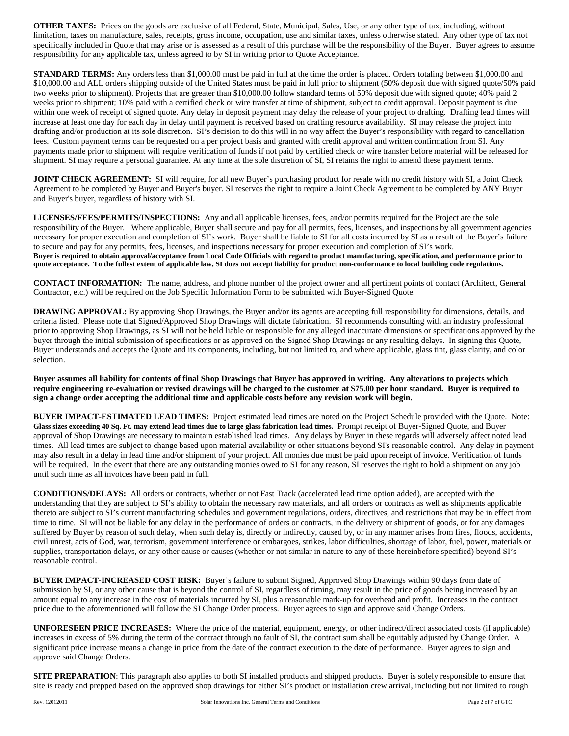**OTHER TAXES:** Prices on the goods are exclusive of all Federal, State, Municipal, Sales, Use, or any other type of tax, including, without limitation, taxes on manufacture, sales, receipts, gross income, occupation, use and similar taxes, unless otherwise stated. Any other type of tax not specifically included in Quote that may arise or is assessed as a result of this purchase will be the responsibility of the Buyer. Buyer agrees to assume responsibility for any applicable tax, unless agreed to by SI in writing prior to Quote Acceptance.

**STANDARD TERMS:** Any orders less than \$1,000.00 must be paid in full at the time the order is placed. Orders totaling between \$1,000.00 and \$10,000.00 and ALL orders shipping outside of the United States must be paid in full prior to shipment (50% deposit due with signed quote/50% paid two weeks prior to shipment). Projects that are greater than \$10,000.00 follow standard terms of 50% deposit due with signed quote; 40% paid 2 weeks prior to shipment; 10% paid with a certified check or wire transfer at time of shipment, subject to credit approval. Deposit payment is due within one week of receipt of signed quote. Any delay in deposit payment may delay the release of your project to drafting. Drafting lead times will increase at least one day for each day in delay until payment is received based on drafting resource availability. SI may release the project into drafting and/or production at its sole discretion. SI's decision to do this will in no way affect the Buyer's responsibility with regard to cancellation fees. Custom payment terms can be requested on a per project basis and granted with credit approval and written confirmation from SI. Any payments made prior to shipment will require verification of funds if not paid by certified check or wire transfer before material will be released for shipment. SI may require a personal guarantee. At any time at the sole discretion of SI, SI retains the right to amend these payment terms.

**JOINT CHECK AGREEMENT:** SI will require, for all new Buyer's purchasing product for resale with no credit history with SI, a Joint Check Agreement to be completed by Buyer and Buyer's buyer. SI reserves the right to require a Joint Check Agreement to be completed by ANY Buyer and Buyer's buyer, regardless of history with SI.

**LICENSES/FEES/PERMITS/INSPECTIONS:** Any and all applicable licenses, fees, and/or permits required for the Project are the sole responsibility of the Buyer. Where applicable, Buyer shall secure and pay for all permits, fees, licenses, and inspections by all government agencies necessary for proper execution and completion of SI's work. Buyer shall be liable to SI for all costs incurred by SI as a result of the Buyer's failure to secure and pay for any permits, fees, licenses, and inspections necessary for proper execution and completion of SI's work. **Buyer is required to obtain approval/acceptance from Local Code Officials with regard to product manufacturing, specification, and performance prior to quote acceptance. To the fullest extent of applicable law, SI does not accept liability for product non-conformance to local building code regulations.**

**CONTACT INFORMATION:** The name, address, and phone number of the project owner and all pertinent points of contact (Architect, General Contractor, etc.) will be required on the Job Specific Information Form to be submitted with Buyer-Signed Quote.

**DRAWING APPROVAL:** By approving Shop Drawings, the Buyer and/or its agents are accepting full responsibility for dimensions, details, and criteria listed. Please note that Signed/Approved Shop Drawings will dictate fabrication. SI recommends consulting with an industry professional prior to approving Shop Drawings, as SI will not be held liable or responsible for any alleged inaccurate dimensions or specifications approved by the buyer through the initial submission of specifications or as approved on the Signed Shop Drawings or any resulting delays. In signing this Quote, Buyer understands and accepts the Quote and its components, including, but not limited to, and where applicable, glass tint, glass clarity, and color selection.

**Buyer assumes all liability for contents of final Shop Drawings that Buyer has approved in writing. Any alterations to projects which require engineering re-evaluation or revised drawings will be charged to the customer at \$75.00 per hour standard. Buyer is required to sign a change order accepting the additional time and applicable costs before any revision work will begin.** 

**BUYER IMPACT**-**ESTIMATED LEAD TIMES:** Project estimated lead times are noted on the Project Schedule provided with the Quote. Note: **Glass sizes exceeding 40 Sq. Ft. may extend lead times due to large glass fabrication lead times.** Prompt receipt of Buyer-Signed Quote, and Buyer approval of Shop Drawings are necessary to maintain established lead times. Any delays by Buyer in these regards will adversely affect noted lead times. All lead times are subject to change based upon material availability or other situations beyond SI's reasonable control. Any delay in payment may also result in a delay in lead time and/or shipment of your project. All monies due must be paid upon receipt of invoice. Verification of funds will be required. In the event that there are any outstanding monies owed to SI for any reason, SI reserves the right to hold a shipment on any job until such time as all invoices have been paid in full.

**CONDITIONS/DELAYS:** All orders or contracts, whether or not Fast Track (accelerated lead time option added), are accepted with the understanding that they are subject to SI's ability to obtain the necessary raw materials, and all orders or contracts as well as shipments applicable thereto are subject to SI's current manufacturing schedules and government regulations, orders, directives, and restrictions that may be in effect from time to time. SI will not be liable for any delay in the performance of orders or contracts, in the delivery or shipment of goods, or for any damages suffered by Buyer by reason of such delay, when such delay is, directly or indirectly, caused by, or in any manner arises from fires, floods, accidents, civil unrest, acts of God, war, terrorism, government interference or embargoes, strikes, labor difficulties, shortage of labor, fuel, power, materials or supplies, transportation delays, or any other cause or causes (whether or not similar in nature to any of these hereinbefore specified) beyond SI's reasonable control.

**BUYER IMPACT-INCREASED COST RISK:** Buyer's failure to submit Signed, Approved Shop Drawings within 90 days from date of submission by SI, or any other cause that is beyond the control of SI, regardless of timing, may result in the price of goods being increased by an amount equal to any increase in the cost of materials incurred by SI, plus a reasonable mark-up for overhead and profit. Increases in the contract price due to the aforementioned will follow the SI Change Order process. Buyer agrees to sign and approve said Change Orders.

**UNFORESEEN PRICE INCREASES:** Where the price of the material, equipment, energy, or other indirect/direct associated costs (if applicable) increases in excess of 5% during the term of the contract through no fault of SI, the contract sum shall be equitably adjusted by Change Order. A significant price increase means a change in price from the date of the contract execution to the date of performance. Buyer agrees to sign and approve said Change Orders.

**SITE PREPARATION:** This paragraph also applies to both SI installed products and shipped products. Buyer is solely responsible to ensure that site is ready and prepped based on the approved shop drawings for either SI's product or installation crew arrival, including but not limited to rough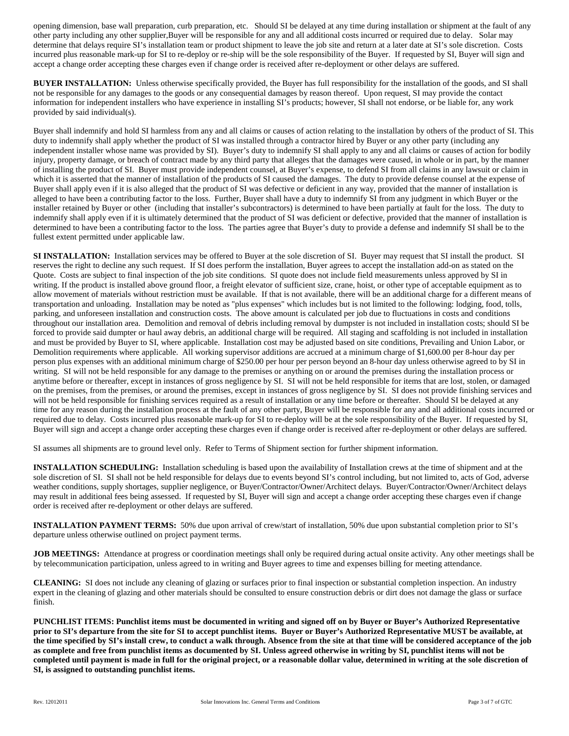opening dimension, base wall preparation, curb preparation, etc. Should SI be delayed at any time during installation or shipment at the fault of any other party including any other supplier,Buyer will be responsible for any and all additional costs incurred or required due to delay. Solar may determine that delays require SI's installation team or product shipment to leave the job site and return at a later date at SI's sole discretion. Costs incurred plus reasonable mark-up for SI to re-deploy or re-ship will be the sole responsibility of the Buyer. If requested by SI, Buyer will sign and accept a change order accepting these charges even if change order is received after re-deployment or other delays are suffered.

**BUYER INSTALLATION:** Unless otherwise specifically provided, the Buyer has full responsibility for the installation of the goods, and SI shall not be responsible for any damages to the goods or any consequential damages by reason thereof. Upon request, SI may provide the contact information for independent installers who have experience in installing SI's products; however, SI shall not endorse, or be liable for, any work provided by said individual(s).

Buyer shall indemnify and hold SI harmless from any and all claims or causes of action relating to the installation by others of the product of SI. This duty to indemnify shall apply whether the product of SI was installed through a contractor hired by Buyer or any other party (including any independent installer whose name was provided by SI). Buyer's duty to indemnify SI shall apply to any and all claims or causes of action for bodily injury, property damage, or breach of contract made by any third party that alleges that the damages were caused, in whole or in part, by the manner of installing the product of SI. Buyer must provide independent counsel, at Buyer's expense, to defend SI from all claims in any lawsuit or claim in which it is asserted that the manner of installation of the products of SI caused the damages. The duty to provide defense counsel at the expense of Buyer shall apply even if it is also alleged that the product of SI was defective or deficient in any way, provided that the manner of installation is alleged to have been a contributing factor to the loss. Further, Buyer shall have a duty to indemnify SI from any judgment in which Buyer or the installer retained by Buyer or other (including that installer's subcontractors) is determined to have been partially at fault for the loss. The duty to indemnify shall apply even if it is ultimately determined that the product of SI was deficient or defective, provided that the manner of installation is determined to have been a contributing factor to the loss. The parties agree that Buyer's duty to provide a defense and indemnify SI shall be to the fullest extent permitted under applicable law.

**SI INSTALLATION:** Installation services may be offered to Buyer at the sole discretion of SI. Buyer may request that SI install the product. SI reserves the right to decline any such request. If SI does perform the installation, Buyer agrees to accept the installation add-on as stated on the Quote. Costs are subject to final inspection of the job site conditions. SI quote does not include field measurements unless approved by SI in writing. If the product is installed above ground floor, a freight elevator of sufficient size, crane, hoist, or other type of acceptable equipment as to allow movement of materials without restriction must be available. If that is not available, there will be an additional charge for a different means of transportation and unloading. Installation may be noted as "plus expenses" which includes but is not limited to the following: lodging, food, tolls, parking, and unforeseen installation and construction costs. The above amount is calculated per job due to fluctuations in costs and conditions throughout our installation area. Demolition and removal of debris including removal by dumpster is not included in installation costs; should SI be forced to provide said dumpter or haul away debris, an additional charge will be required. All staging and scaffolding is not included in installation and must be provided by Buyer to SI, where applicable. Installation cost may be adjusted based on site conditions, Prevailing and Union Labor, or Demolition requirements where applicable. All working supervisor additions are accrued at a minimum charge of \$1,600.00 per 8-hour day per person plus expenses with an additional minimum charge of \$250.00 per hour per person beyond an 8-hour day unless otherwise agreed to by SI in writing. SI will not be held responsible for any damage to the premises or anything on or around the premises during the installation process or anytime before or thereafter, except in instances of gross negligence by SI. SI will not be held responsible for items that are lost, stolen, or damaged on the premises, from the premises, or around the premises, except in instances of gross negligence by SI. SI does not provide finishing services and will not be held responsible for finishing services required as a result of installation or any time before or thereafter. Should SI be delayed at any time for any reason during the installation process at the fault of any other party, Buyer will be responsible for any and all additional costs incurred or required due to delay. Costs incurred plus reasonable mark-up for SI to re-deploy will be at the sole responsibility of the Buyer. If requested by SI, Buyer will sign and accept a change order accepting these charges even if change order is received after re-deployment or other delays are suffered.

SI assumes all shipments are to ground level only. Refer to Terms of Shipment section for further shipment information.

**INSTALLATION SCHEDULING:** Installation scheduling is based upon the availability of Installation crews at the time of shipment and at the sole discretion of SI. SI shall not be held responsible for delays due to events beyond SI's control including, but not limited to, acts of God, adverse weather conditions, supply shortages, supplier negligence, or Buyer/Contractor/Owner/Architect delays. Buyer/Contractor/Owner/Architect delays may result in additional fees being assessed. If requested by SI, Buyer will sign and accept a change order accepting these charges even if change order is received after re-deployment or other delays are suffered.

**INSTALLATION PAYMENT TERMS:** 50% due upon arrival of crew/start of installation, 50% due upon substantial completion prior to SI's departure unless otherwise outlined on project payment terms.

**JOB MEETINGS:** Attendance at progress or coordination meetings shall only be required during actual onsite activity. Any other meetings shall be by telecommunication participation, unless agreed to in writing and Buyer agrees to time and expenses billing for meeting attendance.

**CLEANING:** SI does not include any cleaning of glazing or surfaces prior to final inspection or substantial completion inspection. An industry expert in the cleaning of glazing and other materials should be consulted to ensure construction debris or dirt does not damage the glass or surface finish.

**PUNCHLIST ITEMS: Punchlist items must be documented in writing and signed off on by Buyer or Buyer's Authorized Representative prior to SI's departure from the site for SI to accept punchlist items. Buyer or Buyer's Authorized Representative MUST be available, at the time specified by SI's install crew, to conduct a walk through. Absence from the site at that time will be considered acceptance of the job as complete and free from punchlist items as documented by SI. Unless agreed otherwise in writing by SI, punchlist items will not be completed until payment is made in full for the original project, or a reasonable dollar value, determined in writing at the sole discretion of SI, is assigned to outstanding punchlist items.**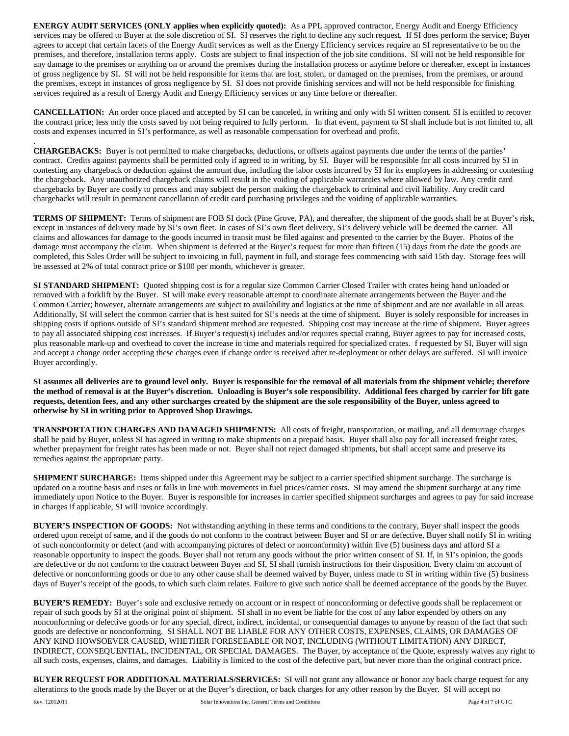**ENERGY AUDIT SERVICES (ONLY applies when explicitly quoted):** As a PPL approved contractor, Energy Audit and Energy Efficiency services may be offered to Buyer at the sole discretion of SI. SI reserves the right to decline any such request. If SI does perform the service; Buyer agrees to accept that certain facets of the Energy Audit services as well as the Energy Efficiency services require an SI representative to be on the premises, and therefore, installation terms apply. Costs are subject to final inspection of the job site conditions. SI will not be held responsible for any damage to the premises or anything on or around the premises during the installation process or anytime before or thereafter, except in instances of gross negligence by SI. SI will not be held responsible for items that are lost, stolen, or damaged on the premises, from the premises, or around the premises, except in instances of gross negligence by SI. SI does not provide finishing services and will not be held responsible for finishing services required as a result of Energy Audit and Energy Efficiency services or any time before or thereafter.

**CANCELLATION:** An order once placed and accepted by SI can be canceled, in writing and only with SI written consent. SI is entitled to recover the contract price; less only the costs saved by not being required to fully perform. In that event, payment to SI shall include but is not limited to, all costs and expenses incurred in SI's performance, as well as reasonable compensation for overhead and profit.

. **CHARGEBACKS:** Buyer is not permitted to make chargebacks, deductions, or offsets against payments due under the terms of the parties' contract. Credits against payments shall be permitted only if agreed to in writing, by SI. Buyer will be responsible for all costs incurred by SI in contesting any chargeback or deduction against the amount due, including the labor costs incurred by SI for its employees in addressing or contesting the chargeback. Any unauthorized chargeback claims will result in the voiding of applicable warranties where allowed by law. Any credit card chargebacks by Buyer are costly to process and may subject the person making the chargeback to criminal and civil liability. Any credit card chargebacks will result in permanent cancellation of credit card purchasing privileges and the voiding of applicable warranties.

**TERMS OF SHIPMENT:** Terms of shipment are FOB SI dock (Pine Grove, PA), and thereafter, the shipment of the goods shall be at Buyer's risk, except in instances of delivery made by SI's own fleet. In cases of SI's own fleet delivery, SI's delivery vehicle will be deemed the carrier. All claims and allowances for damage to the goods incurred in transit must be filed against and presented to the carrier by the Buyer. Photos of the damage must accompany the claim. When shipment is deferred at the Buyer's request for more than fifteen (15) days from the date the goods are completed, this Sales Order will be subject to invoicing in full, payment in full, and storage fees commencing with said 15th day. Storage fees will be assessed at 2% of total contract price or \$100 per month, whichever is greater.

**SI STANDARD SHIPMENT:** Quoted shipping cost is for a regular size Common Carrier Closed Trailer with crates being hand unloaded or removed with a forklift by the Buyer. SI will make every reasonable attempt to coordinate alternate arrangements between the Buyer and the Common Carrier; however, alternate arrangements are subject to availability and logistics at the time of shipment and are not available in all areas. Additionally, SI will select the common carrier that is best suited for SI's needs at the time of shipment. Buyer is solely responsible for increases in shipping costs if options outside of SI's standard shipment method are requested. Shipping cost may increase at the time of shipment. Buyer agrees to pay all associated shipping cost increases. If Buyer's request(s) includes and/or requires special crating, Buyer agrees to pay for increased costs, plus reasonable mark-up and overhead to cover the increase in time and materials required for specialized crates. f requested by SI, Buyer will sign and accept a change order accepting these charges even if change order is received after re-deployment or other delays are suffered. SI will invoice Buyer accordingly.

**SI assumes all deliveries are to ground level only. Buyer is responsible for the removal of all materials from the shipment vehicle; therefore the method of removal is at the Buyer's discretion. Unloading is Buyer's sole responsibility. Additional fees charged by carrier for lift gate requests, detention fees, and any other surcharges created by the shipment are the sole responsibility of the Buyer, unless agreed to otherwise by SI in writing prior to Approved Shop Drawings.** 

**TRANSPORTATION CHARGES AND DAMAGED SHIPMENTS:** All costs of freight, transportation, or mailing, and all demurrage charges shall be paid by Buyer, unless SI has agreed in writing to make shipments on a prepaid basis. Buyer shall also pay for all increased freight rates, whether prepayment for freight rates has been made or not. Buyer shall not reject damaged shipments, but shall accept same and preserve its remedies against the appropriate party.

**SHIPMENT SURCHARGE:** Items shipped under this Agreement may be subject to a carrier specified shipment surcharge. The surcharge is updated on a routine basis and rises or falls in line with movements in fuel prices/carrier costs. SI may amend the shipment surcharge at any time immediately upon Notice to the Buyer. Buyer is responsible for increases in carrier specified shipment surcharges and agrees to pay for said increase in charges if applicable, SI will invoice accordingly.

**BUYER'S INSPECTION OF GOODS:** Not withstanding anything in these terms and conditions to the contrary, Buyer shall inspect the goods ordered upon receipt of same, and if the goods do not conform to the contract between Buyer and SI or are defective, Buyer shall notify SI in writing of such nonconformity or defect (and with accompanying pictures of defect or nonconformity) within five (5) business days and afford SI a reasonable opportunity to inspect the goods. Buyer shall not return any goods without the prior written consent of SI. If, in SI's opinion, the goods are defective or do not conform to the contract between Buyer and SI, SI shall furnish instructions for their disposition. Every claim on account of defective or nonconforming goods or due to any other cause shall be deemed waived by Buyer, unless made to SI in writing within five (5) business days of Buyer's receipt of the goods, to which such claim relates. Failure to give such notice shall be deemed acceptance of the goods by the Buyer.

**BUYER'S REMEDY:** Buyer's sole and exclusive remedy on account or in respect of nonconforming or defective goods shall be replacement or repair of such goods by SI at the original point of shipment. SI shall in no event be liable for the cost of any labor expended by others on any nonconforming or defective goods or for any special, direct, indirect, incidental, or consequential damages to anyone by reason of the fact that such goods are defective or nonconforming. SI SHALL NOT BE LIABLE FOR ANY OTHER COSTS, EXPENSES, CLAIMS, OR DAMAGES OF ANY KIND HOWSOEVER CAUSED, WHETHER FORESEEABLE OR NOT, INCLUDING (WITHOUT LIMITATION) ANY DIRECT, INDIRECT, CONSEQUENTIAL, INCIDENTAL, OR SPECIAL DAMAGES. The Buyer, by acceptance of the Quote, expressly waives any right to all such costs, expenses, claims, and damages. Liability is limited to the cost of the defective part, but never more than the original contract price.

**BUYER REQUEST FOR ADDITIONAL MATERIALS/SERVICES:** SI will not grant any allowance or honor any back charge request for any alterations to the goods made by the Buyer or at the Buyer's direction, or back charges for any other reason by the Buyer. SI will accept no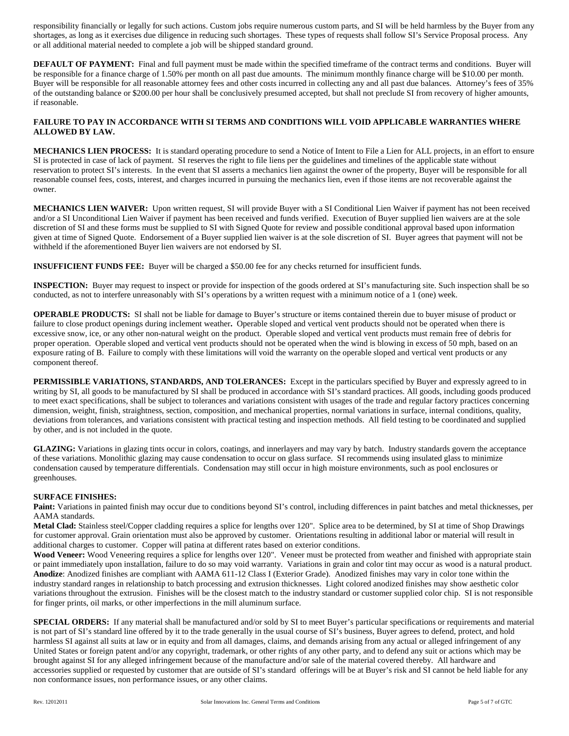responsibility financially or legally for such actions. Custom jobs require numerous custom parts, and SI will be held harmless by the Buyer from any shortages, as long as it exercises due diligence in reducing such shortages. These types of requests shall follow SI's Service Proposal process. Any or all additional material needed to complete a job will be shipped standard ground.

**DEFAULT OF PAYMENT:** Final and full payment must be made within the specified timeframe of the contract terms and conditions. Buyer will be responsible for a finance charge of 1.50% per month on all past due amounts. The minimum monthly finance charge will be \$10.00 per month. Buyer will be responsible for all reasonable attorney fees and other costs incurred in collecting any and all past due balances. Attorney's fees of 35% of the outstanding balance or \$200.00 per hour shall be conclusively presumed accepted, but shall not preclude SI from recovery of higher amounts, if reasonable.

## **FAILURE TO PAY IN ACCORDANCE WITH SI TERMS AND CONDITIONS WILL VOID APPLICABLE WARRANTIES WHERE ALLOWED BY LAW.**

**MECHANICS LIEN PROCESS:** It is standard operating procedure to send a Notice of Intent to File a Lien for ALL projects, in an effort to ensure SI is protected in case of lack of payment. SI reserves the right to file liens per the guidelines and timelines of the applicable state without reservation to protect SI's interests. In the event that SI asserts a mechanics lien against the owner of the property, Buyer will be responsible for all reasonable counsel fees, costs, interest, and charges incurred in pursuing the mechanics lien, even if those items are not recoverable against the owner.

**MECHANICS LIEN WAIVER:** Upon written request, SI will provide Buyer with a SI Conditional Lien Waiver if payment has not been received and/or a SI Unconditional Lien Waiver if payment has been received and funds verified. Execution of Buyer supplied lien waivers are at the sole discretion of SI and these forms must be supplied to SI with Signed Quote for review and possible conditional approval based upon information given at time of Signed Quote. Endorsement of a Buyer supplied lien waiver is at the sole discretion of SI. Buyer agrees that payment will not be withheld if the aforementioned Buyer lien waivers are not endorsed by SI.

**INSUFFICIENT FUNDS FEE:** Buyer will be charged a \$50.00 fee for any checks returned for insufficient funds.

**INSPECTION:** Buyer may request to inspect or provide for inspection of the goods ordered at SI's manufacturing site. Such inspection shall be so conducted, as not to interfere unreasonably with SI's operations by a written request with a minimum notice of a 1 (one) week.

**OPERABLE PRODUCTS:** SI shall not be liable for damage to Buyer's structure or items contained therein due to buyer misuse of product or failure to close product openings during inclement weather**.** Operable sloped and vertical vent products should not be operated when there is excessive snow, ice, or any other non-natural weight on the product. Operable sloped and vertical vent products must remain free of debris for proper operation. Operable sloped and vertical vent products should not be operated when the wind is blowing in excess of 50 mph, based on an exposure rating of B. Failure to comply with these limitations will void the warranty on the operable sloped and vertical vent products or any component thereof.

**PERMISSIBLE VARIATIONS, STANDARDS, AND TOLERANCES:** Except in the particulars specified by Buyer and expressly agreed to in writing by SI, all goods to be manufactured by SI shall be produced in accordance with SI's standard practices. All goods, including goods produced to meet exact specifications, shall be subject to tolerances and variations consistent with usages of the trade and regular factory practices concerning dimension, weight, finish, straightness, section, composition, and mechanical properties, normal variations in surface, internal conditions, quality, deviations from tolerances, and variations consistent with practical testing and inspection methods. All field testing to be coordinated and supplied by other, and is not included in the quote.

**GLAZING:** Variations in glazing tints occur in colors, coatings, and innerlayers and may vary by batch. Industry standards govern the acceptance of these variations. Monolithic glazing may cause condensation to occur on glass surface. SI recommends using insulated glass to minimize condensation caused by temperature differentials. Condensation may still occur in high moisture environments, such as pool enclosures or greenhouses.

## **SURFACE FINISHES:**

Paint: Variations in painted finish may occur due to conditions beyond SI's control, including differences in paint batches and metal thicknesses, per AAMA standards.

**Metal Clad:** Stainless steel/Copper cladding requires a splice for lengths over 120". Splice area to be determined, by SI at time of Shop Drawings for customer approval. Grain orientation must also be approved by customer. Orientations resulting in additional labor or material will result in additional charges to customer. Copper will patina at different rates based on exterior conditions.

Wood Veneer: Wood Veneering requires a splice for lengths over 120". Veneer must be protected from weather and finished with appropriate stain or paint immediately upon installation, failure to do so may void warranty. Variations in grain and color tint may occur as wood is a natural product. **Anodize**: Anodized finishes are compliant with AAMA 611-12 Class I (Exterior Grade). Anodized finishes may vary in color tone within the industry standard ranges in relationship to batch processing and extrusion thicknesses. Light colored anodized finishes may show aesthetic color variations throughout the extrusion. Finishes will be the closest match to the industry standard or customer supplied color chip. SI is not responsible for finger prints, oil marks, or other imperfections in the mill aluminum surface.

**SPECIAL ORDERS:** If any material shall be manufactured and/or sold by SI to meet Buyer's particular specifications or requirements and material is not part of SI's standard line offered by it to the trade generally in the usual course of SI's business, Buyer agrees to defend, protect, and hold harmless SI against all suits at law or in equity and from all damages, claims, and demands arising from any actual or alleged infringement of any United States or foreign patent and/or any copyright, trademark, or other rights of any other party, and to defend any suit or actions which may be brought against SI for any alleged infringement because of the manufacture and/or sale of the material covered thereby. All hardware and accessories supplied or requested by customer that are outside of SI's standard offerings will be at Buyer's risk and SI cannot be held liable for any non conformance issues, non performance issues, or any other claims.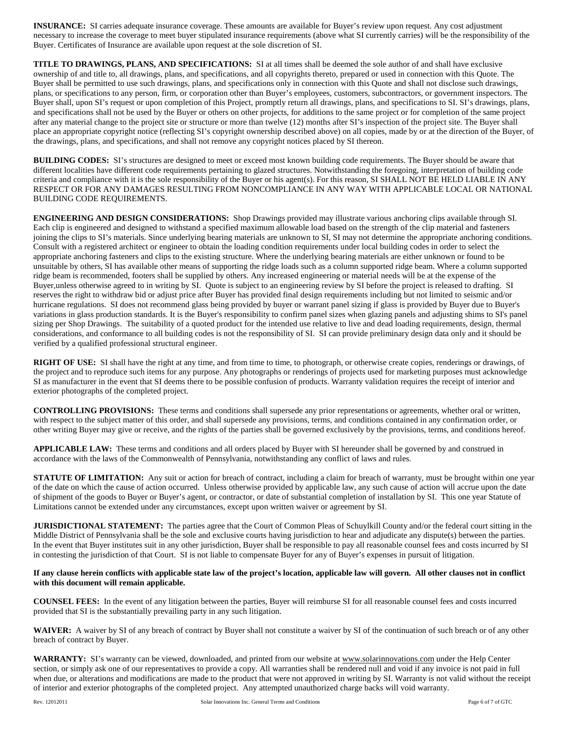**INSURANCE:** SI carries adequate insurance coverage. These amounts are available for Buyer's review upon request. Any cost adjustment necessary to increase the coverage to meet buyer stipulated insurance requirements (above what SI currently carries) will be the responsibility of the Buyer. Certificates of Insurance are available upon request at the sole discretion of SI.

**TITLE TO DRAWINGS, PLANS, AND SPECIFICATIONS:** SI at all times shall be deemed the sole author of and shall have exclusive ownership of and title to, all drawings, plans, and specifications, and all copyrights thereto, prepared or used in connection with this Quote. The Buyer shall be permitted to use such drawings, plans, and specifications only in connection with this Quote and shall not disclose such drawings, plans, or specifications to any person, firm, or corporation other than Buyer's employees, customers, subcontractors, or government inspectors. The Buyer shall, upon SI's request or upon completion of this Project, promptly return all drawings, plans, and specifications to SI. SI's drawings, plans, and specifications shall not be used by the Buyer or others on other projects, for additions to the same project or for completion of the same project after any material change to the project site or structure or more than twelve (12) months after SI's inspection of the project site. The Buyer shall place an appropriate copyright notice (reflecting SI's copyright ownership described above) on all copies, made by or at the direction of the Buyer, of the drawings, plans, and specifications, and shall not remove any copyright notices placed by SI thereon.

**BUILDING CODES:** SI's structures are designed to meet or exceed most known building code requirements. The Buyer should be aware that different localities have different code requirements pertaining to glazed structures. Notwithstanding the foregoing, interpretation of building code criteria and compliance with it is the sole responsibility of the Buyer or his agent(s). For this reason, SI SHALL NOT BE HELD LIABLE IN ANY RESPECT OR FOR ANY DAMAGES RESULTING FROM NONCOMPLIANCE IN ANY WAY WITH APPLICABLE LOCAL OR NATIONAL BUILDING CODE REQUIREMENTS.

**ENGINEERING AND DESIGN CONSIDERATIONS:** Shop Drawings provided may illustrate various anchoring clips available through SI. Each clip is engineered and designed to withstand a specified maximum allowable load based on the strength of the clip material and fasteners joining the clips to SI's materials. Since underlying bearing materials are unknown to SI, SI may not determine the appropriate anchoring conditions. Consult with a registered architect or engineer to obtain the loading condition requirements under local building codes in order to select the appropriate anchoring fasteners and clips to the existing structure. Where the underlying bearing materials are either unknown or found to be unsuitable by others, SI has available other means of supporting the ridge loads such as a column supported ridge beam. Where a column supported ridge beam is recommended, footers shall be supplied by others. Any increased engineering or material needs will be at the expense of the Buyer,unless otherwise agreed to in writing by SI. Quote is subject to an engineering review by SI before the project is released to drafting. SI reserves the right to withdraw bid or adjust price after Buyer has provided final design requirements including but not limited to seismic and/or hurricane regulations. SI does not recommend glass being provided by buyer or warrant panel sizing if glass is provided by Buyer due to Buyer's variations in glass production standards. It is the Buyer's responsibility to confirm panel sizes when glazing panels and adjusting shims to SI's panel sizing per Shop Drawings.The suitability of a quoted product for the intended use relative to live and dead loading requirements, design, thermal considerations, and conformance to all building codes is not the responsibility of SI. SI can provide preliminary design data only and it should be verified by a qualified professional structural engineer.

**RIGHT OF USE:** SI shall have the right at any time, and from time to time, to photograph, or otherwise create copies, renderings or drawings, of the project and to reproduce such items for any purpose. Any photographs or renderings of projects used for marketing purposes must acknowledge SI as manufacturer in the event that SI deems there to be possible confusion of products. Warranty validation requires the receipt of interior and exterior photographs of the completed project.

**CONTROLLING PROVISIONS:** These terms and conditions shall supersede any prior representations or agreements, whether oral or written, with respect to the subject matter of this order, and shall supersede any provisions, terms, and conditions contained in any confirmation order, or other writing Buyer may give or receive, and the rights of the parties shall be governed exclusively by the provisions, terms, and conditions hereof.

**APPLICABLE LAW:** These terms and conditions and all orders placed by Buyer with SI hereunder shall be governed by and construed in accordance with the laws of the Commonwealth of Pennsylvania, notwithstanding any conflict of laws and rules.

**STATUTE OF LIMITATION:** Any suit or action for breach of contract, including a claim for breach of warranty, must be brought within one year of the date on which the cause of action occurred. Unless otherwise provided by applicable law, any such cause of action will accrue upon the date of shipment of the goods to Buyer or Buyer's agent, or contractor, or date of substantial completion of installation by SI. This one year Statute of Limitations cannot be extended under any circumstances, except upon written waiver or agreement by SI.

**JURISDICTIONAL STATEMENT:** The parties agree that the Court of Common Pleas of Schuylkill County and/or the federal court sitting in the Middle District of Pennsylvania shall be the sole and exclusive courts having jurisdiction to hear and adjudicate any dispute(s) between the parties. In the event that Buyer institutes suit in any other jurisdiction, Buyer shall be responsible to pay all reasonable counsel fees and costs incurred by SI in contesting the jurisdiction of that Court. SI is not liable to compensate Buyer for any of Buyer's expenses in pursuit of litigation.

## **If any clause herein conflicts with applicable state law of the project's location, applicable law will govern. All other clauses not in conflict with this document will remain applicable.**

**COUNSEL FEES:** In the event of any litigation between the parties, Buyer will reimburse SI for all reasonable counsel fees and costs incurred provided that SI is the substantially prevailing party in any such litigation.

**WAIVER:** A waiver by SI of any breach of contract by Buyer shall not constitute a waiver by SI of the continuation of such breach or of any other breach of contract by Buyer.

WARRANTY: SI's warranty can be viewed, downloaded, and printed from our website a[t www.solarinnovations.com](http://www.solarinnovations.com/) under the Help Center section, or simply ask one of our representatives to provide a copy. All warranties shall be rendered null and void if any invoice is not paid in full when due, or alterations and modifications are made to the product that were not approved in writing by SI. Warranty is not valid without the receipt of interior and exterior photographs of the completed project. Any attempted unauthorized charge backs will void warranty.